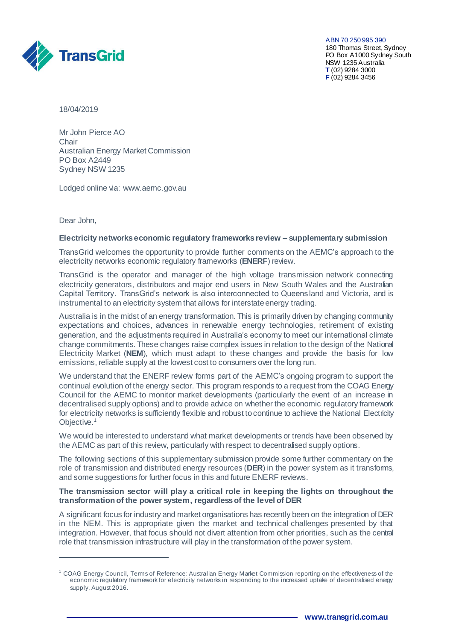

ABN 70 250 995 390 180 Thomas Street, Sydney PO Box A1000 Sydney South NSW 1235 Australia **T** (02) 9284 3000 **F** (02) 9284 3456

18/04/2019

Mr John Pierce AO Chair Australian Energy Market Commission PO Box A2449 Sydney NSW 1235

Lodged online via: [www.aemc.gov.au](http://www.aemc.gov.au/) 

Dear John,

 $\overline{a}$ 

### **Electricity networks economic regulatory frameworks review – supplementary submission**

TransGrid welcomes the opportunity to provide further comments on the AEMC's approach to the electricity networks economic regulatory frameworks (**ENERF**) review.

TransGrid is the operator and manager of the high voltage transmission network connecting electricity generators, distributors and major end users in New South Wales and the Australian Capital Territory. TransGrid's network is also interconnected to Queensland and Victoria, and is instrumental to an electricity system that allows for interstate energy trading.

Australia is in the midst of an energy transformation. This is primarily driven by changing community expectations and choices, advances in renewable energy technologies, retirement of existing generation, and the adjustments required in Australia's economy to meet our international climate change commitments. These changes raise complex issues in relation to the design of the National Electricity Market (**NEM**), which must adapt to these changes and provide the basis for low emissions, reliable supply at the lowest cost to consumers over the long run.

We understand that the ENERF review forms part of the AEMC's ongoing program to support the continual evolution of the energy sector. This program responds to a request from the COAG Energy Council for the AEMC to monitor market developments (particularly the event of an increase in decentralised supply options) and to provide advice on whether the economic regulatory framework for electricity networks is sufficiently flexible and robust to continue to achieve the National Electricity Objective.<sup>1</sup>

We would be interested to understand what market developments or trends have been observed by the AEMC as part of this review, particularly with respect to decentralised supply options.

The following sections of this supplementary submission provide some further commentary on the role of transmission and distributed energy resources (**DER**) in the power system as it transforms, and some suggestions for further focus in this and future ENERF reviews.

# **The transmission sector will play a critical role in keeping the lights on throughout the transformation of the power system, regardless of the level of DER**

A significant focus for industry and market organisations has recently been on the integration of DER in the NEM. This is appropriate given the market and technical challenges presented by that integration. However, that focus should not divert attention from other priorities, such as the central role that transmission infrastructure will play in the transformation of the power system.

<sup>&</sup>lt;sup>1</sup> COAG Energy Council, Terms of Reference: Australian Energy Market Commission reporting on the effectiveness of the economic regulatory framework for electricity networks in responding to the increased uptake of decentralised energy supply, August 2016.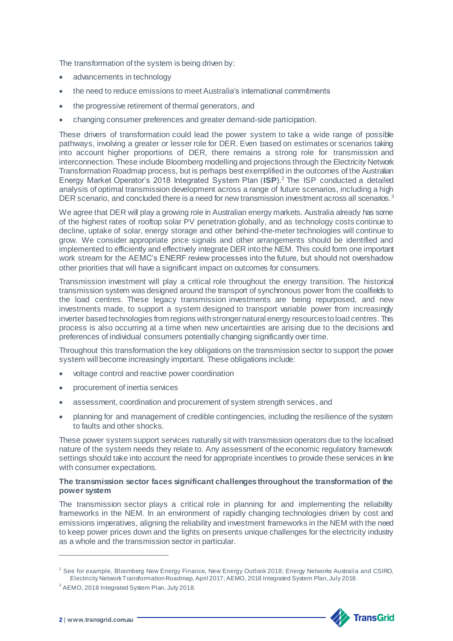The transformation of the system is being driven by:

- advancements in technology
- the need to reduce emissions to meet Australia's international commitments
- the progressive retirement of thermal generators, and
- changing consumer preferences and greater demand-side participation.

These drivers of transformation could lead the power system to take a wide range of possible pathways, involving a greater or lesser role for DER. Even based on estimates or scenarios taking into account higher proportions of DER, there remains a strong role for transmission and interconnection. These include Bloomberg modelling and projections through the Electricity Network Transformation Roadmap process, but is perhaps best exemplified in the outcomes of the Australian Energy Market Operator's 2018 Integrated System Plan (**ISP**). <sup>2</sup> The ISP conducted a detailed analysis of optimal transmission development across a range of future scenarios, including a high DER scenario, and concluded there is a need for new transmission investment across all scenarios.<sup>3</sup>

We agree that DER will play a growing role in Australian energy markets. Australia already has some of the highest rates of rooftop solar PV penetration globally, and as technology costs continue to decline, uptake of solar, energy storage and other behind-the-meter technologies will continue to grow. We consider appropriate price signals and other arrangements should be identified and implemented to efficiently and effectively integrate DER into the NEM. This could form one important work stream for the AEMC's ENERF review processes into the future, but should not overshadow other priorities that will have a significant impact on outcomes for consumers.

Transmission investment will play a critical role throughout the energy transition. The historical transmission system was designed around the transport of synchronous power from the coalfields to the load centres. These legacy transmission investments are being repurposed, and new investments made, to support a system designed to transport variable power from increasingly inverter based technologies from regions with stronger natural energy resources to load centres. This process is also occurring at a time when new uncertainties are arising due to the decisions and preferences of individual consumers potentially changing significantly over time.

Throughout this transformation the key obligations on the transmission sector to support the power system will become increasingly important. These obligations include:

- voltage control and reactive power coordination
- procurement of inertia services
- assessment, coordination and procurement of system strength services, and
- planning for and management of credible contingencies, including the resilience of the system to faults and other shocks.

These power system support services naturally sit with transmission operators due to the localised nature of the system needs they relate to. Any assessment of the economic regulatory framework settings should take into account the need for appropriate incentives to provide these services in line with consumer expectations.

# **The transmission sector faces significant challenges throughout the transformation of the power system**

The transmission sector plays a critical role in planning for and implementing the reliability frameworks in the NEM. In an environment of rapidly changing technologies driven by cost and emissions imperatives, aligning the reliability and investment frameworks in the NEM with the need to keep power prices down and the lights on presents unique challenges for the electricity industry as a whole and the transmission sector in particular.



 $\overline{a}$ 

<sup>&</sup>lt;sup>2</sup> See for example, Bloomberg New Energy Finance, New Energy Outlook 2018; Energy Networks Australia and CSIRO, Electricity Network Transformation Roadmap, April 2017; AEMO, 2018 Integrated System Plan, July 2018.

<sup>3</sup> AEMO, 2018 Integrated System Plan, July 2018.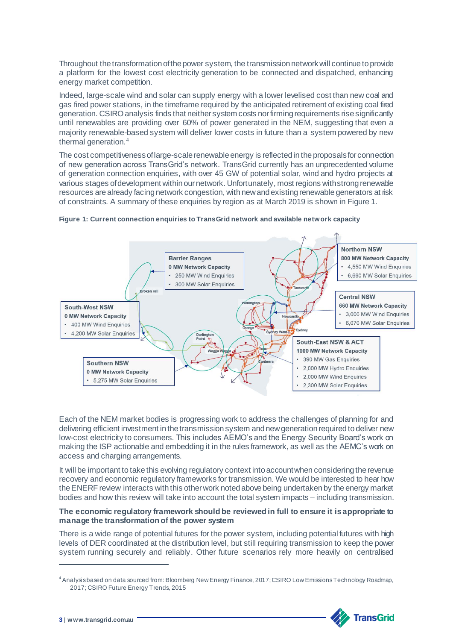Throughout the transformation of the power system, the transmission network will continue to provide a platform for the lowest cost electricity generation to be connected and dispatched, enhancing energy market competition.

Indeed, large-scale wind and solar can supply energy with a lower levelised cost than new coal and gas fired power stations, in the timeframe required by the anticipated retirement of existing coal fired generation. CSIRO analysis finds that neither system costs nor firming requirements rise significantly until renewables are providing over 60% of power generated in the NEM, suggesting that even a majority renewable-based system will deliver lower costs in future than a system powered by new thermal generation.<sup>4</sup>

The cost competitiveness of large-scale renewable energy is reflected in the proposals for connection of new generation across TransGrid's network. TransGrid currently has an unprecedented volume of generation connection enquiries, with over 45 GW of potential solar, wind and hydro projects at various stages of development within our network. Unfortunately, most regions with strong renewable resources are already facing network congestion, with new and existing renewable generators at risk of constraints. A summary of these enquiries by region as at March 2019 is shown in Figure 1.



#### **Figure 1: Current connection enquiries to TransGrid network and available network capacity**

Each of the NEM market bodies is progressing work to address the challenges of planning for and delivering efficient investment in the transmission system and new generation required to deliver new low-cost electricity to consumers. This includes AEMO's and the Energy Security Board's work on making the ISP actionable and embedding it in the rules framework, as well as the AEMC's work on access and charging arrangements.

It will be important to take this evolving regulatory context into account when considering the revenue recovery and economic regulatory frameworks for transmission. We would be interested to hear how the ENERF review interacts with this other work noted above being undertaken by the energy market bodies and how this review will take into account the total system impacts – including transmission.

### **The economic regulatory framework should be reviewed in full to ensure it is appropriate to manage the transformation of the power system**

There is a wide range of potential futures for the power system, including potential futures with high levels of DER coordinated at the distribution level, but still requiring transmission to keep the power system running securely and reliably. Other future scenarios rely more heavily on centralised

<sup>4</sup>Analysis based on data sourced from: Bloomberg New Energy Finance, 2017; CSIRO Low Emissions Technology Roadmap, 2017; CSIRO Future Energy Trends, 2015



 $\overline{a}$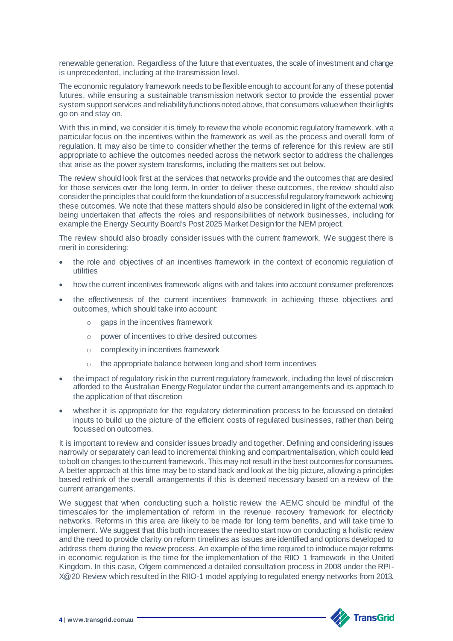renewable generation. Regardless of the future that eventuates, the scale of investment and change is unprecedented, including at the transmission level.

The economic regulatory framework needs to be flexible enough to account for any of these potential futures, while ensuring a sustainable transmission network sector to provide the essential power system support services and reliability functions noted above, that consumers value when their lights go on and stay on.

With this in mind, we consider it is timely to review the whole economic regulatory framework, with a particular focus on the incentives within the framework as well as the process and overall form of regulation. It may also be time to consider whether the terms of reference for this review are still appropriate to achieve the outcomes needed across the network sector to address the challenges that arise as the power system transforms, including the matters set out below.

The review should look first at the services that networks provide and the outcomes that are desired for those services over the long term. In order to deliver these outcomes, the review should also consider the principles that could form the foundation of a successful regulatory framework achieving these outcomes. We note that these matters should also be considered in light of the external work being undertaken that affects the roles and responsibilities of network businesses, including for example the Energy Security Board's Post 2025 Market Design for the NEM project.

The review should also broadly consider issues with the current framework. We suggest there is merit in considering:

- the role and objectives of an incentives framework in the context of economic regulation of utilities
- how the current incentives framework aligns with and takes into account consumer preferences
- the effectiveness of the current incentives framework in achieving these objectives and outcomes, which should take into account:
	- $\circ$  gaps in the incentives framework
	- o power of incentives to drive desired outcomes
	- o complexity in incentives framework
	- o the appropriate balance between long and short term incentives
- the impact of regulatory risk in the current regulatory framework, including the level of discretion afforded to the Australian Energy Regulator under the current arrangements and its approach to the application of that discretion
- whether it is appropriate for the regulatory determination process to be focussed on detailed inputs to build up the picture of the efficient costs of regulated businesses, rather than being focussed on outcomes.

It is important to review and consider issues broadly and together. Defining and considering issues narrowly or separately can lead to incremental thinking and compartmentalisation, which could lead tobolt on changes to the current framework. This may not result in the best outcomes for consumers. A better approach at this time may be to stand back and look at the big picture, allowing a principles based rethink of the overall arrangements if this is deemed necessary based on a review of the current arrangements.

We suggest that when conducting such a holistic review the AEMC should be mindful of the timescales for the implementation of reform in the revenue recovery framework for electricity networks. Reforms in this area are likely to be made for long term benefits, and will take time to implement. We suggest that this both increases the need to start now on conducting a holistic review and the need to provide clarity on reform timelines as issues are identified and options developed to address them during the review process. An example of the time required to introduce major reforms in economic regulation is the time for the implementation of the RIIO 1 framework in the United Kingdom. In this case, Ofgem commenced a detailed consultation process in 2008 under the RPI-X@20 Review which resulted in the RIIO-1 model applying to regulated energy networks from 2013.